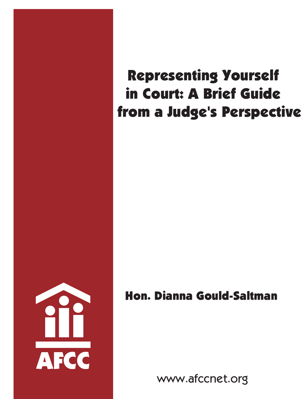

# Representing Yourself in Court: A Brief Guide from a Judge's Perspective

## Hon. Dianna Gould-Saltman

www.afccnet.org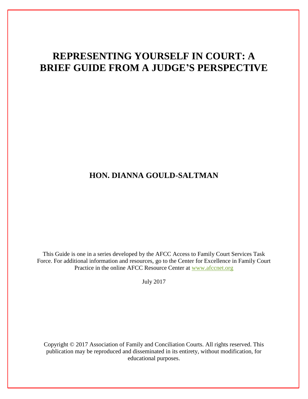### **REPRESENTING YOURSELF IN COURT: A BRIEF GUIDE FROM A JUDGE'S PERSPECTIVE**

#### **HON. DIANNA GOULD-SALTMAN**

This Guide is one in a series developed by the AFCC Access to Family Court Services Task Force. For additional information and resources, go to the Center for Excellence in Family Court Practice in the online AFCC Resource Center at [www.afccnet.org](http://www.afccnet.org/)

July 2017

Copyright © 2017 Association of Family and Conciliation Courts. All rights reserved. This publication may be reproduced and disseminated in its entirety, without modification, for educational purposes.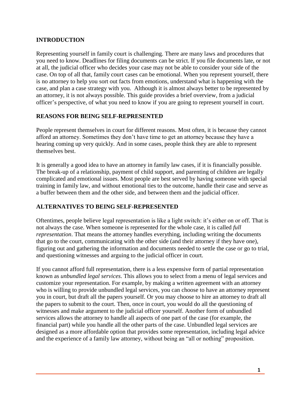#### **INTRODUCTION**

Representing yourself in family court is challenging. There are many laws and procedures that you need to know. Deadlines for filing documents can be strict. If you file documents late, or not at all, the judicial officer who decides your case may not be able to consider your side of the case. On top of all that, family court cases can be emotional. When you represent yourself, there is no attorney to help you sort out facts from emotions, understand what is happening with the case, and plan a case strategy with you. Although it is almost always better to be represented by an attorney, it is not always possible. This guide provides a brief overview, from a judicial officer's perspective, of what you need to know if you are going to represent yourself in court.

#### **REASONS FOR BEING SELF-REPRESENTED**

People represent themselves in court for different reasons. Most often, it is because they cannot afford an attorney. Sometimes they don't have time to get an attorney because they have a hearing coming up very quickly. And in some cases, people think they are able to represent themselves best.

It is generally a good idea to have an attorney in family law cases, if it is financially possible. The break-up of a relationship, payment of child support, and parenting of children are legally complicated and emotional issues. Most people are best served by having someone with special training in family law, and without emotional ties to the outcome, handle their case and serve as a buffer between them and the other side, and between them and the judicial officer.

#### **ALTERNATIVES TO BEING SELF-REPRESENTED**

Oftentimes, people believe legal representation is like a light switch: it's either on or off. That is not always the case. When someone is represented for the whole case, it is called *full representation*. That means the attorney handles everything, including writing the documents that go to the court, communicating with the other side (and their attorney if they have one), figuring out and gathering the information and documents needed to settle the case or go to trial, and questioning witnesses and arguing to the judicial officer in court.

If you cannot afford full representation, there is a less expensive form of partial representation known as *unbundled legal services*. This allows you to select from a menu of legal services and customize your representation. For example, by making a written agreement with an attorney who is willing to provide unbundled legal services, you can choose to have an attorney represent you in court, but draft all the papers yourself. Or you may choose to hire an attorney to draft all the papers to submit to the court. Then, once in court, you would do all the questioning of witnesses and make argument to the judicial officer yourself. Another form of unbundled services allows the attorney to handle all aspects of one part of the case (for example, the financial part) while you handle all the other parts of the case. Unbundled legal services are designed as a more affordable option that provides some representation, including legal advice and the experience of a family law attorney, without being an "all or nothing" proposition.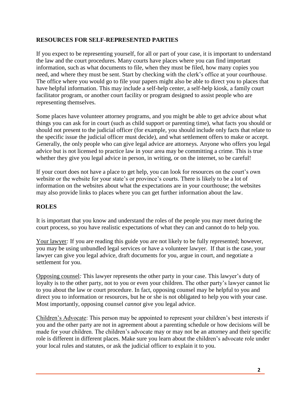#### **RESOURCES FOR SELF-REPRESENTED PARTIES**

If you expect to be representing yourself, for all or part of your case, it is important to understand the law and the court procedures. Many courts have places where you can find important information, such as what documents to file, when they must be filed, how many copies you need, and where they must be sent. Start by checking with the clerk's office at your courthouse. The office where you would go to file your papers might also be able to direct you to places that have helpful information. This may include a self-help center, a self-help kiosk, a family court facilitator program, or another court facility or program designed to assist people who are representing themselves.

Some places have volunteer attorney programs, and you might be able to get advice about what things you can ask for in court (such as child support or parenting time), what facts you should or should not present to the judicial officer (for example, you should include only facts that relate to the specific issue the judicial officer must decide), and what settlement offers to make or accept. Generally, the only people who can give legal advice are attorneys. Anyone who offers you legal advice but is not licensed to practice law in your area may be committing a crime. This is true whether they give you legal advice in person, in writing, or on the internet, so be careful!

If your court does not have a place to get help, you can look for resources on the court's own website or the website for your state's or province's courts. There is likely to be a lot of information on the websites about what the expectations are in your courthouse; the websites may also provide links to places where you can get further information about the law.

#### **ROLES**

It is important that you know and understand the roles of the people you may meet during the court process, so you have realistic expectations of what they can and cannot do to help you.

Your lawyer*:* If you are reading this guide you are not likely to be fully represented; however, you may be using unbundled legal services or have a volunteer lawyer. If that is the case, your lawyer can give you legal advice, draft documents for you, argue in court, and negotiate a settlement for you.

Opposing counsel*:* This lawyer represents the other party in your case. This lawyer's duty of loyalty is to the other party, not to you or even your children. The other party's lawyer cannot lie to you about the law or court procedure. In fact, opposing counsel may be helpful to you and direct you to information or resources, but he or she is not obligated to help you with your case. Most importantly, opposing counsel *cannot* give you legal advice.

Children's Advocate: This person may be appointed to represent your children's best interests if you and the other party are not in agreement about a parenting schedule or how decisions will be made for your children. The children's advocate may or may not be an attorney and their specific role is different in different places. Make sure you learn about the children's advocate role under your local rules and statutes, or ask the judicial officer to explain it to you.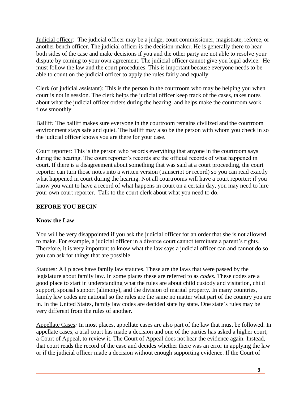Judicial officer*:* The judicial officer may be a judge, court commissioner, magistrate, referee, or another bench officer. The judicial officer is the decision-maker. He is generally there to hear both sides of the case and make decisions if you and the other party are not able to resolve your dispute by coming to your own agreement. The judicial officer cannot give you legal advice. He must follow the law and the court procedures. This is important because everyone needs to be able to count on the judicial officer to apply the rules fairly and equally.

Clerk (or judicial assistant)*:* This is the person in the courtroom who may be helping you when court is not in session. The clerk helps the judicial officer keep track of the cases, takes notes about what the judicial officer orders during the hearing, and helps make the courtroom work flow smoothly.

Bailiff*:* The bailiff makes sure everyone in the courtroom remains civilized and the courtroom environment stays safe and quiet. The bailiff may also be the person with whom you check in so the judicial officer knows you are there for your case.

Court reporter*:* This is the person who records everything that anyone in the courtroom says during the hearing. The court reporter's records are the official records of what happened in court. If there is a disagreement about something that was said at a court proceeding, the court reporter can turn those notes into a written version (transcript or record) so you can read exactly what happened in court during the hearing. Not all courtrooms will have a court reporter; if you know you want to have a record of what happens in court on a certain day, you may need to hire your own court reporter. Talk to the court clerk about what you need to do.

#### **BEFORE YOU BEGIN**

#### **Know the Law**

You will be very disappointed if you ask the judicial officer for an order that she is not allowed to make. For example, a judicial officer in a divorce court cannot terminate a parent's rights. Therefore, it is very important to know what the law says a judicial officer can and cannot do so you can ask for things that are possible.

Statutes*:* All places have family law statutes. These are the laws that were passed by the legislature about family law. In some places these are referred to as *codes.* These codes are a good place to start in understanding what the rules are about child custody and visitation, child support, spousal support (alimony), and the division of marital property. In many countries, family law codes are national so the rules are the same no matter what part of the country you are in. In the United States, family law codes are decided state by state. One state's rules may be very different from the rules of another.

Appellate Cases*:* In most places, appellate cases are also part of the law that must be followed. In appellate cases, a trial court has made a decision and one of the parties has asked a higher court, a Court of Appeal, to review it. The Court of Appeal does not hear the evidence again. Instead, that court reads the record of the case and decides whether there was an error in applying the law or if the judicial officer made a decision without enough supporting evidence. If the Court of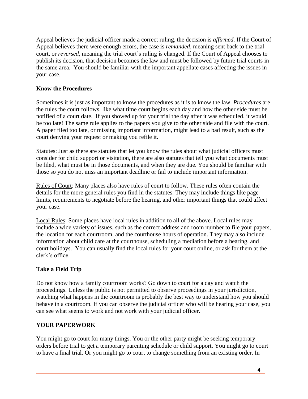Appeal believes the judicial officer made a correct ruling, the decision is *affirmed*. If the Court of Appeal believes there were enough errors, the case is *remanded*, meaning sent back to the trial court, or *reversed*, meaning the trial court's ruling is changed. If the Court of Appeal chooses to publish its decision, that decision becomes the law and must be followed by future trial courts in the same area. You should be familiar with the important appellate cases affecting the issues in your case.

#### **Know the Procedures**

Sometimes it is just as important to know the procedures as it is to know the law. *Procedures* are the rules the court follows, like what time court begins each day and how the other side must be notified of a court date. If you showed up for your trial the day after it was scheduled, it would be too late! The same rule applies to the papers you give to the other side and file with the court. A paper filed too late, or missing important information, might lead to a bad result, such as the court denying your request or making you refile it.

Statutes: Just as there are statutes that let you know the rules about what judicial officers must consider for child support or visitation, there are also statutes that tell you what documents must be filed, what must be in those documents, and when they are due. You should be familiar with those so you do not miss an important deadline or fail to include important information.

Rules of Court: Many places also have rules of court to follow. These rules often contain the details for the more general rules you find in the statutes. They may include things like page limits, requirements to negotiate before the hearing, and other important things that could affect your case.

Local Rules: Some places have local rules in addition to all of the above. Local rules may include a wide variety of issues, such as the correct address and room number to file your papers, the location for each courtroom, and the courthouse hours of operation. They may also include information about child care at the courthouse, scheduling a mediation before a hearing, and court holidays. You can usually find the local rules for your court online, or ask for them at the clerk's office.

#### **Take a Field Trip**

Do not know how a family courtroom works? Go down to court for a day and watch the proceedings. Unless the public is not permitted to observe proceedings in your jurisdiction, watching what happens in the courtroom is probably the best way to understand how you should behave in a courtroom. If you can observe the judicial officer who will be hearing your case, you can see what seems to work and not work with your judicial officer.

#### **YOUR PAPERWORK**

You might go to court for many things. You or the other party might be seeking temporary orders before trial to get a temporary parenting schedule or child support. You might go to court to have a final trial. Or you might go to court to change something from an existing order. In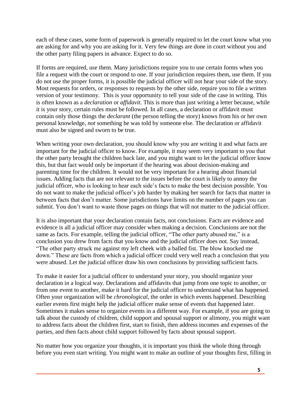each of these cases, some form of paperwork is generally required to let the court know what you are asking for and why you are asking for it. Very few things are done in court without you and the other party filing papers in advance. Expect to do so.

If forms are required, use them. Many jurisdictions require you to use certain forms when you file a request with the court or respond to one. If your jurisdiction requires them, use them. If you do not use the proper forms, it is possible the judicial officer will not hear your side of the story. Most requests for orders, or responses to requests by the other side, require you to file a written version of your testimony. This is your opportunity to tell your side of the case in writing. This is often known as a *declaration* or *affidavit*. This is more than just writing a letter because, while it is your story, certain rules must be followed. In all cases, a declaration or affidavit must contain only those things the *declarant* (the person telling the story) knows from his or her own personal knowledge, *not* something he was told by someone else. The declaration or affidavit must also be signed and sworn to be true.

When writing your own declaration, you should know why you are writing it and what facts are important for the judicial officer to know. For example, it may seem very important to you that the other party brought the children back late, and you might want to let the judicial officer know this, but that fact would only be important if the hearing was about decision-making and parenting time for the children. It would not be very important for a hearing about financial issues. Adding facts that are not relevant to the issues before the court is likely to annoy the judicial officer, who is looking to hear each side's facts to make the best decision possible. You do not want to make the judicial officer's job harder by making her search for facts that matter in between facts that don't matter. Some jurisdictions have limits on the number of pages you can submit. You don't want to waste those pages on things that will not matter to the judicial officer.

It is also important that your declaration contain facts, not conclusions. Facts are evidence and evidence is all a judicial officer may consider when making a decision. Conclusions are not the same as facts. For example, telling the judicial officer, "The other party abused me," is a conclusion you drew from facts that you know and the judicial officer does not. Say instead, "The other party struck me against my left cheek with a balled fist. The blow knocked me down." These are facts from which a judicial officer could very well reach a conclusion that you were abused. Let the judicial officer draw his own conclusions by providing sufficient facts.

To make it easier for a judicial officer to understand your story, you should organize your declaration in a logical way. Declarations and affidavits that jump from one topic to another, or from one event to another, make it hard for the judicial officer to understand what has happened. Often your organization will be *chronological*, the order in which events happened. Describing earlier events first might help the judicial officer make sense of events that happened later. Sometimes it makes sense to organize events in a different way. For example, if you are going to talk about the custody of children, child support and spousal support or alimony, you might want to address facts about the children first, start to finish, then address incomes and expenses of the parties, and then facts about child support followed by facts about spousal support.

No matter how you organize your thoughts, it is important you think the whole thing through before you even start writing. You might want to make an outline of your thoughts first, filling in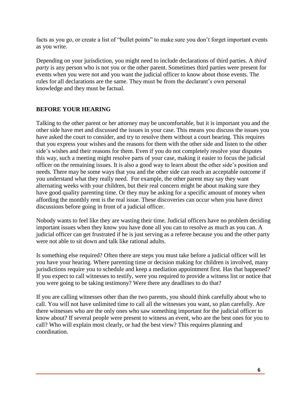facts as you go, or create a list of "bullet points" to make sure you don't forget important events as you write.

Depending on your jurisdiction, you might need to include declarations of third parties. A *third party* is any person who is not you or the other parent. Sometimes third parties were present for events when you were not and you want the judicial officer to know about those events. The rules for all declarations are the same. They must be from the declarant's own personal knowledge and they must be factual.

#### **BEFORE YOUR HEARING**

Talking to the other parent or her attorney may be uncomfortable, but it is important you and the other side have met and discussed the issues in your case. This means you discuss the issues you have asked the court to consider, and try to resolve them without a court hearing. This requires that you express your wishes and the reasons for them with the other side and listen to the other side's wishes and their reasons for them. Even if you do not completely resolve your disputes this way, such a meeting might resolve parts of your case, making it easier to focus the judicial officer on the remaining issues. It is also a good way to learn about the other side's position and needs. There may be some ways that you and the other side can reach an acceptable outcome if you understand what they really need. For example, the other parent may say they want alternating weeks with your children, but their real concern might be about making sure they have good quality parenting time. Or they may be asking for a specific amount of money when affording the monthly rent is the real issue. These discoveries can occur when you have direct discussions before going in front of a judicial officer.

Nobody wants to feel like they are wasting their time. Judicial officers have no problem deciding important issues when they know you have done all you can to resolve as much as you can. A judicial officer can get frustrated if he is just serving as a referee because you and the other party were not able to sit down and talk like rational adults.

Is something else required? Often there are steps you must take before a judicial officer will let you have your hearing. Where parenting time or decision making for children is involved, many jurisdictions require you to schedule and keep a mediation appointment first. Has that happened? If you expect to call witnesses to testify, were you required to provide a witness list or notice that you were going to be taking testimony? Were there any deadlines to do that?

If you are calling witnesses other than the two parents, you should think carefully about who to call. You will not have unlimited time to call all the witnesses you want, so plan carefully. Are there witnesses who are the only ones who saw something important for the judicial officer to know about? If several people were present to witness an event, who are the best ones for you to call? Who will explain most clearly, or had the best view? This requires planning and coordination.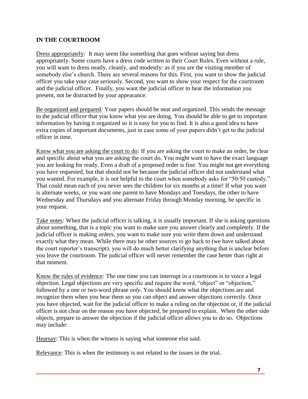#### **IN THE COURTROOM**

Dress appropriately*:* It may seem like something that goes without saying but dress appropriately. Some courts have a dress code written in their Court Rules. Even without a rule, you will want to dress neatly, cleanly, and modestly: as if you are the visiting member of somebody else's church. There are several reasons for this. First, you want to show the judicial officer you take your case seriously. Second, you want to show your respect for the courtroom and the judicial officer. Finally, you want the judicial officer to hear the information you present, not be distracted by your appearance.

Be organized and prepared*:* Your papers should be neat and organized. This sends the message to the judicial officer that you know what you are doing. You should be able to get to important information by having it organized so it is easy for you to find. It is also a good idea to have extra copies of important documents, just in case some of your papers didn't get to the judicial officer in time.

Know what you are asking the court to do*:* If you are asking the court to make an order, be clear and specific about what you are asking the court do. You might want to have the exact language you are looking for ready. Even a draft of a proposed order is fine. You might not get everything you have requested, but that should not be because the judicial officer did not understand what you wanted. For example, it is not helpful to the court when somebody asks for "50/50 custody." That could mean each of you never sees the children for six months at a time! If what you want is alternate weeks, or you want one parent to have Mondays and Tuesdays, the other to have Wednesday and Thursdays and you alternate Friday through Monday morning, be specific in your request.

Take notes*:* When the judicial officer is talking, it is usually important. If she is asking questions about something, that is a topic you want to make sure you answer clearly and completely. If the judicial officer is making orders, you want to make sure you write them down and understand exactly what they mean. While there may be other sources to go back to (we have talked about the court reporter's transcript), you will do much better clarifying anything that is unclear before you leave the courtroom. The judicial officer will never remember the case better than right at that moment.

Know the rules of evidence*:* The one time you can interrupt in a courtroom is to voice a legal objection. Legal objections are very specific and require the word, "object" or "objection," followed by a one or two-word phrase *only*. You should know what the objections are and recognize them when you hear them so you can object and answer objections correctly. Once you have objected, wait for the judicial officer to make a ruling on the objection or, if the judicial officer is not clear on the reason you have objected, be prepared to explain. When the other side objects, prepare to answer the objection if the judicial officer allows you to do so. Objections may include:

Hearsay: This is when the witness is saying what someone else said.

Relevance: This is when the testimony is not related to the issues in the trial.